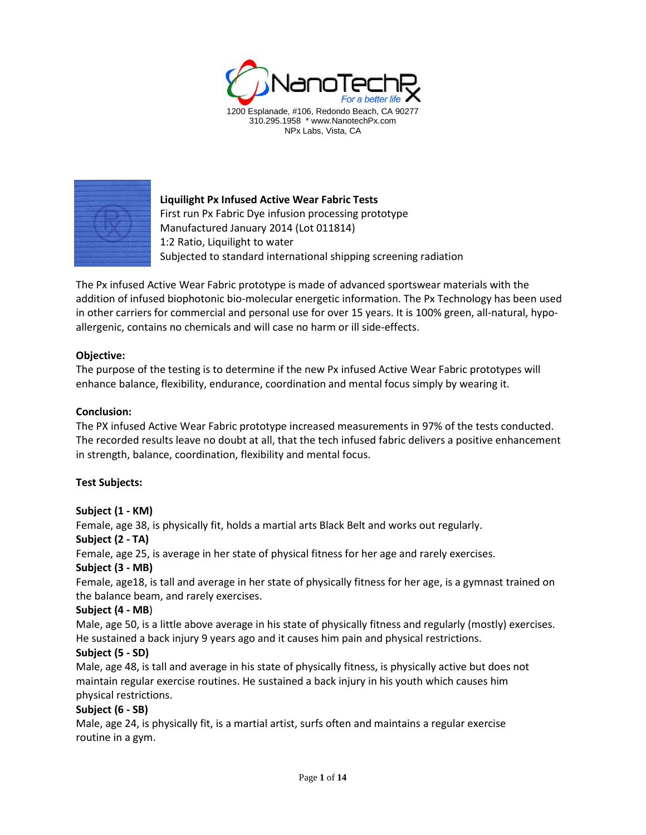



**Liquilight Px Infused Active Wear Fabric Tests** First run Px Fabric Dye infusion processing prototype Manufactured January 2014 (Lot 011814) 1:2 Ratio, Liquilight to water Subjected to standard international shipping screening radiation

The Px infused Active Wear Fabric prototype is made of advanced sportswear materials with the addition of infused biophotonic bio-molecular energetic information. The Px Technology has been used in other carriers for commercial and personal use for over 15 years. It is 100% green, all-natural, hypoallergenic, contains no chemicals and will case no harm or ill side-effects.

## **Objective:**

The purpose of the testing is to determine if the new Px infused Active Wear Fabric prototypes will enhance balance, flexibility, endurance, coordination and mental focus simply by wearing it.

## **Conclusion:**

The PX infused Active Wear Fabric prototype increased measurements in 97% of the tests conducted. The recorded results leave no doubt at all, that the tech infused fabric delivers a positive enhancement in strength, balance, coordination, flexibility and mental focus.

### **Test Subjects:**

### **Subject (1 - KM)**

Female, age 38, is physically fit, holds a martial arts Black Belt and works out regularly.

### **Subject (2 - TA)**

Female, age 25, is average in her state of physical fitness for her age and rarely exercises.

# **Subject (3 - MB)**

Female, age18, is tall and average in her state of physically fitness for her age, is a gymnast trained on the balance beam, and rarely exercises.

### **Subject (4 - MB**)

Male, age 50, is a little above average in his state of physically fitness and regularly (mostly) exercises. He sustained a back injury 9 years ago and it causes him pain and physical restrictions.

### **Subject (5 - SD)**

Male, age 48, is tall and average in his state of physically fitness, is physically active but does not maintain regular exercise routines. He sustained a back injury in his youth which causes him physical restrictions.

### **Subject (6 - SB)**

Male, age 24, is physically fit, is a martial artist, surfs often and maintains a regular exercise routine in a gym.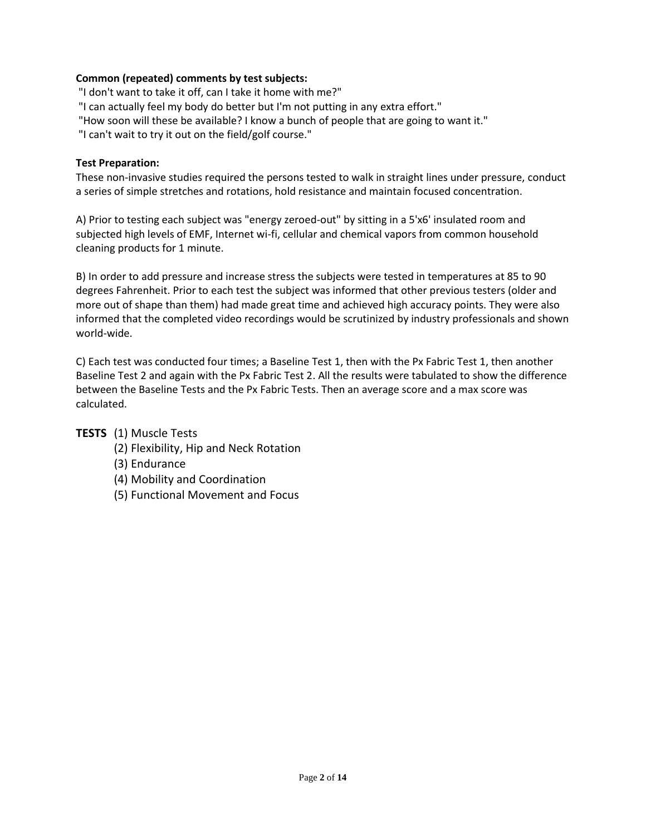# **Common (repeated) comments by test subjects:**

"I don't want to take it off, can I take it home with me?"

"I can actually feel my body do better but I'm not putting in any extra effort."

"How soon will these be available? I know a bunch of people that are going to want it."

"I can't wait to try it out on the field/golf course."

## **Test Preparation:**

These non-invasive studies required the persons tested to walk in straight lines under pressure, conduct a series of simple stretches and rotations, hold resistance and maintain focused concentration.

A) Prior to testing each subject was "energy zeroed-out" by sitting in a 5'x6' insulated room and subjected high levels of EMF, Internet wi-fi, cellular and chemical vapors from common household cleaning products for 1 minute.

B) In order to add pressure and increase stress the subjects were tested in temperatures at 85 to 90 degrees Fahrenheit. Prior to each test the subject was informed that other previous testers (older and more out of shape than them) had made great time and achieved high accuracy points. They were also informed that the completed video recordings would be scrutinized by industry professionals and shown world-wide.

C) Each test was conducted four times; a Baseline Test 1, then with the Px Fabric Test 1, then another Baseline Test 2 and again with the Px Fabric Test 2. All the results were tabulated to show the difference between the Baseline Tests and the Px Fabric Tests. Then an average score and a max score was calculated.

**TESTS** (1) Muscle Tests

- (2) Flexibility, Hip and Neck Rotation
- (3) Endurance
- (4) Mobility and Coordination
- (5) Functional Movement and Focus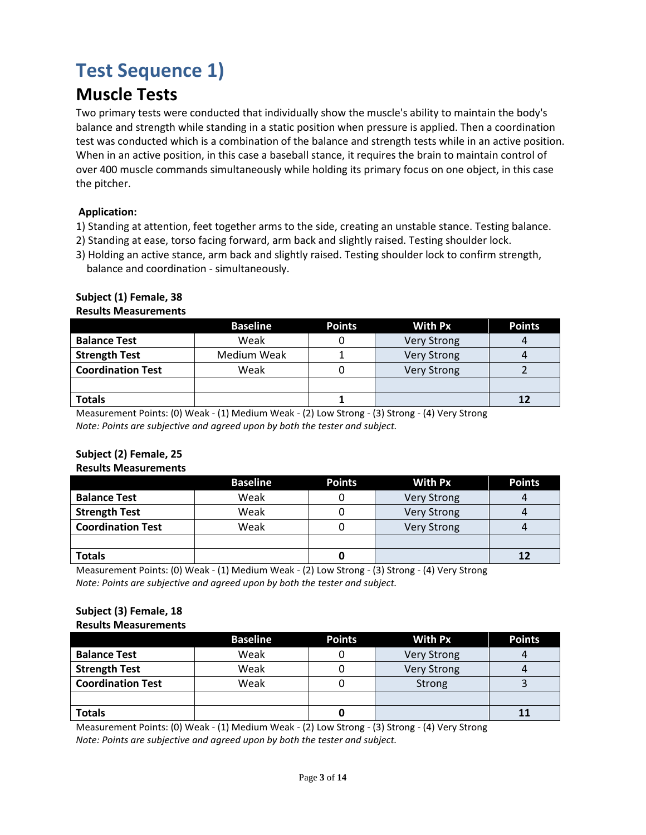# **Test Sequence 1)**

# **Muscle Tests**

Two primary tests were conducted that individually show the muscle's ability to maintain the body's balance and strength while standing in a static position when pressure is applied. Then a coordination test was conducted which is a combination of the balance and strength tests while in an active position. When in an active position, in this case a baseball stance, it requires the brain to maintain control of over 400 muscle commands simultaneously while holding its primary focus on one object, in this case the pitcher.

# **Application:**

- 1) Standing at attention, feet together arms to the side, creating an unstable stance. Testing balance.
- 2) Standing at ease, torso facing forward, arm back and slightly raised. Testing shoulder lock.
- 3) Holding an active stance, arm back and slightly raised. Testing shoulder lock to confirm strength, balance and coordination - simultaneously.

# **Subject (1) Female, 38**

#### **Results Measurements**

|                          | <b>Baseline</b> | <b>Points</b> | <b>With Px</b>     | <b>Points</b> |
|--------------------------|-----------------|---------------|--------------------|---------------|
| <b>Balance Test</b>      | Weak            |               | <b>Very Strong</b> |               |
| <b>Strength Test</b>     | Medium Weak     |               | <b>Very Strong</b> |               |
| <b>Coordination Test</b> | Weak            |               | <b>Very Strong</b> |               |
|                          |                 |               |                    |               |
| <b>Totals</b>            |                 |               |                    | 12            |

Measurement Points: (0) Weak - (1) Medium Weak - (2) Low Strong - (3) Strong - (4) Very Strong *Note: Points are subjective and agreed upon by both the tester and subject.*

# **Subject (2) Female, 25**

### **Results Measurements**

|                          | <b>Baseline</b> | <b>Points</b> | <b>With Px</b>     | <b>Points</b> |
|--------------------------|-----------------|---------------|--------------------|---------------|
| <b>Balance Test</b>      | Weak            |               | <b>Very Strong</b> |               |
| <b>Strength Test</b>     | Weak            |               | <b>Very Strong</b> |               |
| <b>Coordination Test</b> | Weak            |               | <b>Very Strong</b> |               |
|                          |                 |               |                    |               |
| <b>Totals</b>            |                 |               |                    |               |

Measurement Points: (0) Weak - (1) Medium Weak - (2) Low Strong - (3) Strong - (4) Very Strong *Note: Points are subjective and agreed upon by both the tester and subject.*

#### **Subject (3) Female, 18 Results Measurements**

|                          | <b>Baseline</b> | <b>Points</b> | <b>With Px</b>     | <b>Points</b> |
|--------------------------|-----------------|---------------|--------------------|---------------|
| <b>Balance Test</b>      | Weak            |               | <b>Very Strong</b> |               |
| <b>Strength Test</b>     | Weak            |               | <b>Very Strong</b> |               |
| <b>Coordination Test</b> | Weak            |               | <b>Strong</b>      |               |
|                          |                 |               |                    |               |
| <b>Totals</b>            |                 |               |                    |               |

Measurement Points: (0) Weak - (1) Medium Weak - (2) Low Strong - (3) Strong - (4) Very Strong *Note: Points are subjective and agreed upon by both the tester and subject.*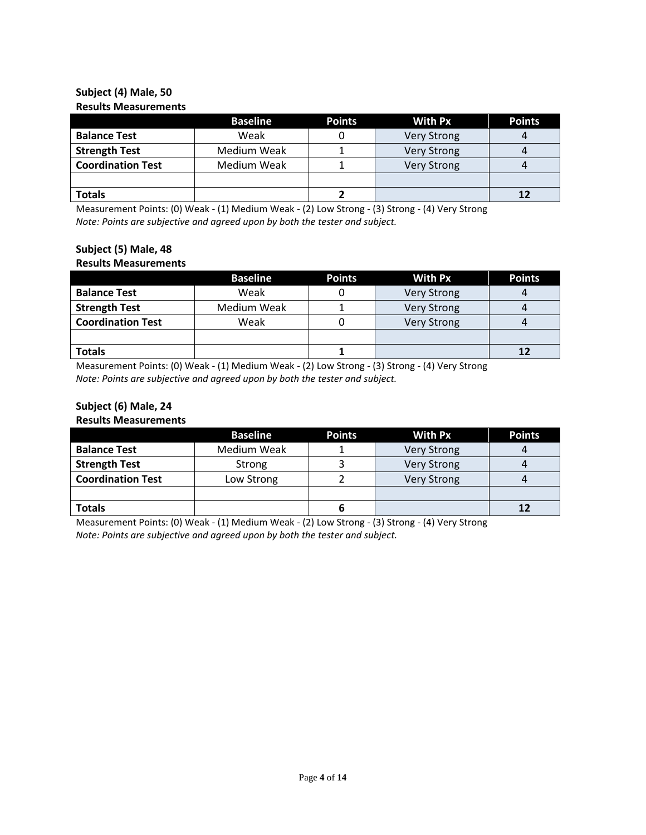## **Subject (4) Male, 50 Results Measurements**

|                          | <b>Baseline</b> | <b>Points</b> | <b>With Px</b>     | <b>Points</b> |
|--------------------------|-----------------|---------------|--------------------|---------------|
| <b>Balance Test</b>      | Weak            |               | <b>Very Strong</b> |               |
| <b>Strength Test</b>     | Medium Weak     |               | <b>Very Strong</b> |               |
| <b>Coordination Test</b> | Medium Weak     |               | <b>Very Strong</b> |               |
|                          |                 |               |                    |               |
| <b>Totals</b>            |                 |               |                    |               |

Measurement Points: (0) Weak - (1) Medium Weak - (2) Low Strong - (3) Strong - (4) Very Strong *Note: Points are subjective and agreed upon by both the tester and subject.*

# **Subject (5) Male, 48**

### **Results Measurements**

|                          | <b>Baseline</b> | <b>Points</b> | <b>With Px</b>     | <b>Points</b> |
|--------------------------|-----------------|---------------|--------------------|---------------|
| <b>Balance Test</b>      | Weak            |               | <b>Very Strong</b> |               |
| <b>Strength Test</b>     | Medium Weak     |               | <b>Very Strong</b> |               |
| <b>Coordination Test</b> | Weak            |               | <b>Very Strong</b> |               |
|                          |                 |               |                    |               |
| <b>Totals</b>            |                 |               |                    |               |

Measurement Points: (0) Weak - (1) Medium Weak - (2) Low Strong - (3) Strong - (4) Very Strong *Note: Points are subjective and agreed upon by both the tester and subject.*

# **Subject (6) Male, 24**

**Results Measurements**

|                          | <b>Baseline</b> | <b>Points</b> | <b>With Px</b>     | <b>Points</b> |
|--------------------------|-----------------|---------------|--------------------|---------------|
| <b>Balance Test</b>      | Medium Weak     |               | <b>Very Strong</b> |               |
| <b>Strength Test</b>     | Strong          |               | <b>Very Strong</b> |               |
| <b>Coordination Test</b> | Low Strong      |               | <b>Very Strong</b> |               |
|                          |                 |               |                    |               |
| <b>Totals</b>            |                 |               |                    |               |

Measurement Points: (0) Weak - (1) Medium Weak - (2) Low Strong - (3) Strong - (4) Very Strong *Note: Points are subjective and agreed upon by both the tester and subject.*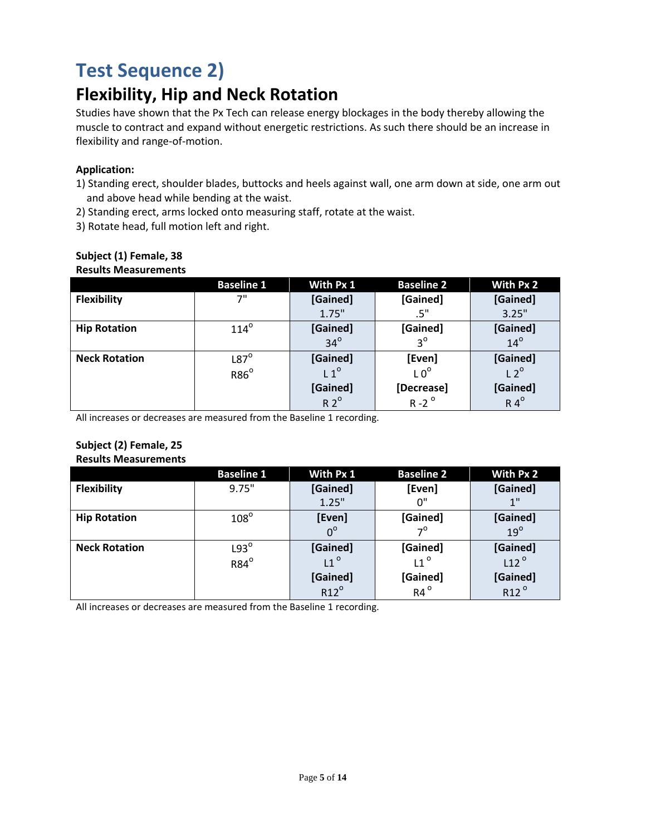# **Test Sequence 2)**

# **Flexibility, Hip and Neck Rotation**

Studies have shown that the Px Tech can release energy blockages in the body thereby allowing the muscle to contract and expand without energetic restrictions. As such there should be an increase in flexibility and range-of-motion.

## **Application:**

- 1) Standing erect, shoulder blades, buttocks and heels against wall, one arm down at side, one arm out and above head while bending at the waist.
- 2) Standing erect, arms locked onto measuring staff, rotate at the waist.
- 3) Rotate head, full motion left and right.

| RESUILS IVICASUI CIIICIILS |                   |              |                   |               |
|----------------------------|-------------------|--------------|-------------------|---------------|
|                            | <b>Baseline 1</b> | With Px 1    | <b>Baseline 2</b> | With Px 2     |
| <b>Flexibility</b>         | 7"                | [Gained]     | [Gained]          | [Gained]      |
|                            |                   | 1.75"        | .5"               | 3.25"         |
| <b>Hip Rotation</b>        | $114^\circ$       | [Gained]     | [Gained]          | [Gained]      |
|                            |                   | $34^\circ$   | $3^{\circ}$       | $14^\circ$    |
| <b>Neck Rotation</b>       | $L87^\circ$       | [Gained]     | [Even]            | [Gained]      |
|                            | $R86^\circ$       | $L1^{\circ}$ | LO <sup>o</sup>   | $L2^{\circ}$  |
|                            |                   | [Gained]     | [Decrease]        | [Gained]      |
|                            |                   | $R2^{\circ}$ | $R - 2^{\circ}$   | $R 4^{\circ}$ |

#### **Subject (1) Female, 38 Results Measurements**

All increases or decreases are measured from the Baseline 1 recording.

#### **Subject (2) Female, 25 Results Measurements**

|                      | <b>Baseline 1</b> | With Px 1     | <b>Baseline 2</b> | With Px 2                    |
|----------------------|-------------------|---------------|-------------------|------------------------------|
| <b>Flexibility</b>   | 9.75"             | [Gained]      | [Even]            | [Gained]                     |
|                      |                   | 1.25"         | 0"                | 1"                           |
| <b>Hip Rotation</b>  | $108^\circ$       | [Even]        | [Gained]          | [Gained]                     |
|                      |                   | $0^{\circ}$   | $7^{\circ}$       | $19^\circ$                   |
| <b>Neck Rotation</b> | $L93^\circ$       | [Gained]      | [Gained]          | [Gained]                     |
|                      | R84 <sup>o</sup>  | $L1^{\circ}$  | $L1^{\circ}$      | $L12^{\circ}$                |
|                      |                   | [Gained]      | [Gained]          |                              |
|                      |                   | $R12^{\circ}$ | $R4^{\circ}$      | [Gained]<br>R12 <sup>°</sup> |

All increases or decreases are measured from the Baseline 1 recording.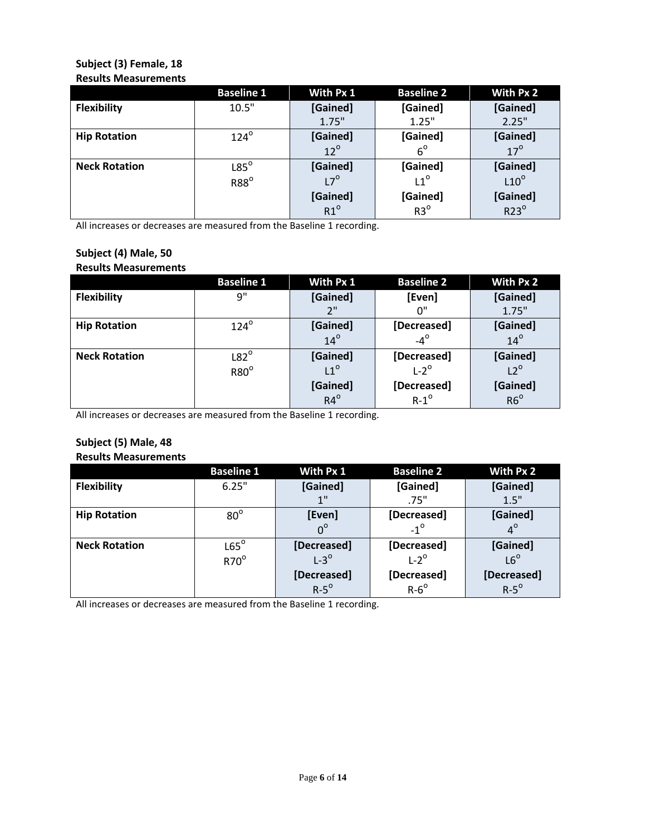### **Subject (3) Female, 18 Results Measurements**

|                      | <b>Baseline 1</b> | With Px 1                | <b>Baseline 2</b>           | With Px 2                    |
|----------------------|-------------------|--------------------------|-----------------------------|------------------------------|
| <b>Flexibility</b>   | 10.5"             | [Gained]                 | [Gained]                    | [Gained]                     |
|                      |                   | 1.75"                    | 1.25"                       | 2.25"                        |
| <b>Hip Rotation</b>  | $124^\circ$       | [Gained]                 | [Gained]                    | [Gained]                     |
|                      |                   | $12^{\circ}$             | $6^{\circ}$                 | $17^\circ$                   |
| <b>Neck Rotation</b> | $L85^\circ$       | [Gained]                 | [Gained]                    |                              |
|                      | $R88^\circ$       | $L7^{\circ}$             | $11^{\circ}$                | [Gained]<br>L10 <sup>°</sup> |
|                      |                   |                          |                             |                              |
|                      |                   | [Gained]<br>$R1^{\circ}$ | [Gained]<br>R3 <sup>°</sup> | [Gained]<br>R23 <sup>°</sup> |

All increases or decreases are measured from the Baseline 1 recording.

## **Subject (4) Male, 50 Results Measurements**

|                      | <b>Baseline 1</b> | With Px 1    | <b>Baseline 2</b> | With Px 2       |
|----------------------|-------------------|--------------|-------------------|-----------------|
| Flexibility          | 9"                | [Gained]     | [Even]            | [Gained]        |
|                      |                   | 2"           | በ"                | 1.75"           |
| <b>Hip Rotation</b>  | $124^\circ$       | [Gained]     | [Decreased]       | [Gained]        |
|                      |                   | $14^\circ$   | $-4^\circ$        | $14^\circ$      |
| <b>Neck Rotation</b> | $L82^\circ$       | [Gained]     | [Decreased]       | [Gained]        |
|                      | $R80^\circ$       | $L1^{\circ}$ | $L-2^{\circ}$     | $L2^{\circ}$    |
|                      |                   | [Gained]     | [Decreased]       |                 |
|                      |                   | $R4^{\circ}$ | $R-1^{\circ}$     | [Gained]<br>R6° |

All increases or decreases are measured from the Baseline 1 recording.

#### **Subject (5) Male, 48 Results Measurements**

|                      | <b>Baseline 1</b> | With Px 1     | <b>Baseline 2</b> | With Px 2    |
|----------------------|-------------------|---------------|-------------------|--------------|
| <b>Flexibility</b>   | 6.25"             | [Gained]      | [Gained]          | [Gained]     |
|                      |                   | 1"            | .75"              | 1.5"         |
| <b>Hip Rotation</b>  | $80^\circ$        | [Even]        | [Decreased]       | [Gained]     |
|                      |                   | $0^{\circ}$   | $-1^{\circ}$      | $4^\circ$    |
| <b>Neck Rotation</b> | $L65^\circ$       | [Decreased]   | [Decreased]       | [Gained]     |
|                      | $R70^\circ$       | $L-3^{\circ}$ | $L-2^{\circ}$     | $L6^{\circ}$ |
|                      |                   | [Decreased]   | [Decreased]       | [Decreased]  |
|                      |                   | $R-5^\circ$   | $R - 6^{\circ}$   | $R-5^\circ$  |

All increases or decreases are measured from the Baseline 1 recording.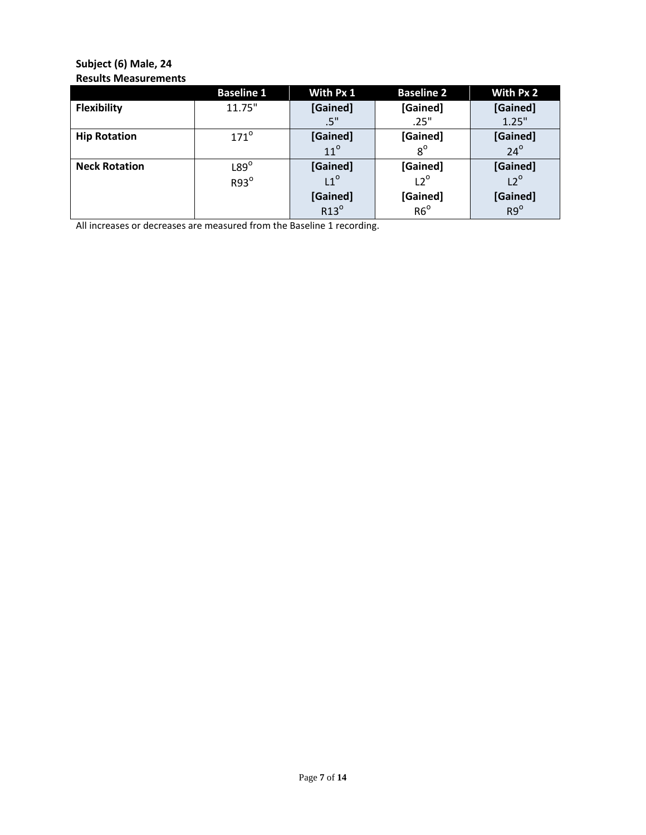# **Subject (6) Male, 24 Results Measurements**

|                      | <b>Baseline 1</b> | With Px 1               | <b>Baseline 2</b> | With Px 2                   |
|----------------------|-------------------|-------------------------|-------------------|-----------------------------|
| <b>Flexibility</b>   | 11.75"            | [Gained]                | [Gained]          | [Gained]                    |
|                      |                   | .5"                     | .25"              | 1.25"                       |
| <b>Hip Rotation</b>  | $171^\circ$       | [Gained]                | [Gained]          | [Gained]                    |
|                      |                   | $11^{\circ}$            | $8^{\circ}$       | $24^\circ$                  |
| <b>Neck Rotation</b> | $L89^\circ$       | [Gained]                | [Gained]          | [Gained]<br>L2 <sup>°</sup> |
|                      | $R93^\circ$       | $L1^{\circ}$            | $L2^{\circ}$      |                             |
|                      |                   |                         |                   |                             |
|                      |                   | [Gained]<br>$R13^\circ$ | [Gained]<br>R6°   | [Gained]<br>R9 <sup>o</sup> |

All increases or decreases are measured from the Baseline 1 recording.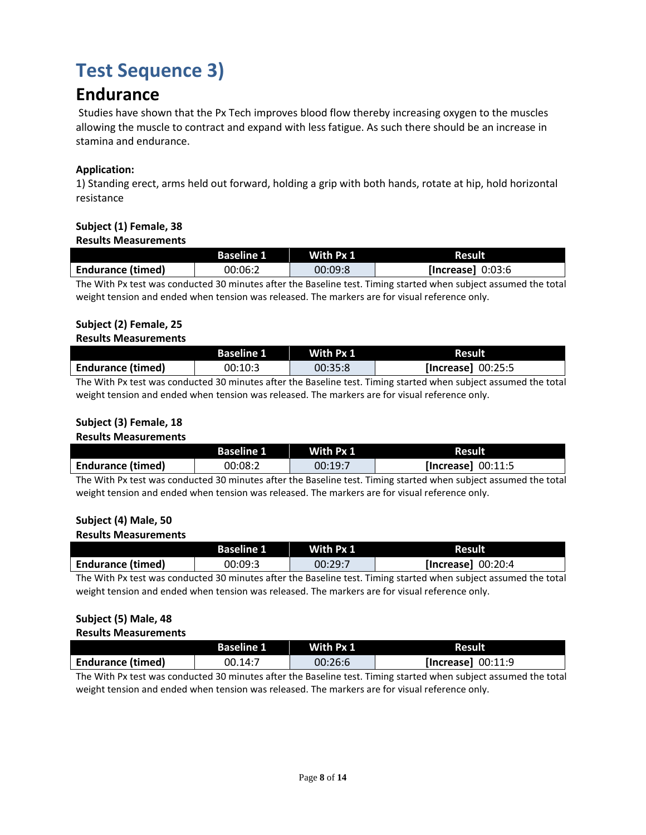# **Test Sequence 3)**

# **Endurance**

Studies have shown that the Px Tech improves blood flow thereby increasing oxygen to the muscles allowing the muscle to contract and expand with less fatigue. As such there should be an increase in stamina and endurance.

# **Application:**

1) Standing erect, arms held out forward, holding a grip with both hands, rotate at hip, hold horizontal resistance

# **Subject (1) Female, 38**

#### **Results Measurements**

|                                                                                                                      | <b>Baseline 1</b> | With Px 1 | <b>Result</b>      |  |  |  |  |
|----------------------------------------------------------------------------------------------------------------------|-------------------|-----------|--------------------|--|--|--|--|
| <b>Endurance (timed)</b>                                                                                             | 00:06:2           | 00:09:8   | [Increase] 0:03:6] |  |  |  |  |
| . The With Boundary conditional GO activities of mathematics and Thirty contract of the condition occurred the usual |                   |           |                    |  |  |  |  |

The With Px test was conducted 30 minutes after the Baseline test. Timing started when subject assumed the total weight tension and ended when tension was released. The markers are for visual reference only.

# **Subject (2) Female, 25**

### **Results Measurements**

|                          | <b>Baseline 1</b>    | With Px 1 | Result             |
|--------------------------|----------------------|-----------|--------------------|
| <b>Endurance (timed)</b> | 00:10:3              | 00:35:8   | [Increase] 00:25:5 |
| $-1$                     | $\sim$ $\sim$ $\sim$ |           | .                  |

The With Px test was conducted 30 minutes after the Baseline test. Timing started when subject assumed the total weight tension and ended when tension was released. The markers are for visual reference only.

# **Subject (3) Female, 18**

### **Results Measurements**

|                          | <b>Baseline 1</b> | With Px 1 | <b>Result</b>      |
|--------------------------|-------------------|-----------|--------------------|
| <b>Endurance (timed)</b> | 00:08:2           | 00:19:7   | [Increase] 00:11:5 |

The With Px test was conducted 30 minutes after the Baseline test. Timing started when subject assumed the total weight tension and ended when tension was released. The markers are for visual reference only.

# **Subject (4) Male, 50**

### **Results Measurements**

|                          | <b>Baseline 1</b> | With Px 1 | <b>Result</b>      |
|--------------------------|-------------------|-----------|--------------------|
| <b>Endurance (timed)</b> | 00:09:3           | 00:29:7   | [Increase] 00:20:4 |

The With Px test was conducted 30 minutes after the Baseline test. Timing started when subject assumed the total weight tension and ended when tension was released. The markers are for visual reference only.

# **Subject (5) Male, 48**

#### **Results Measurements**

|                          | <b>Baseline 1</b> | With Px 1 | <b>Result</b>        |
|--------------------------|-------------------|-----------|----------------------|
| <b>Endurance (timed)</b> | 00.14:7           | 00:26:6   | [Increase] $00:11:9$ |
|                          |                   |           |                      |

The With Px test was conducted 30 minutes after the Baseline test. Timing started when subject assumed the total weight tension and ended when tension was released. The markers are for visual reference only.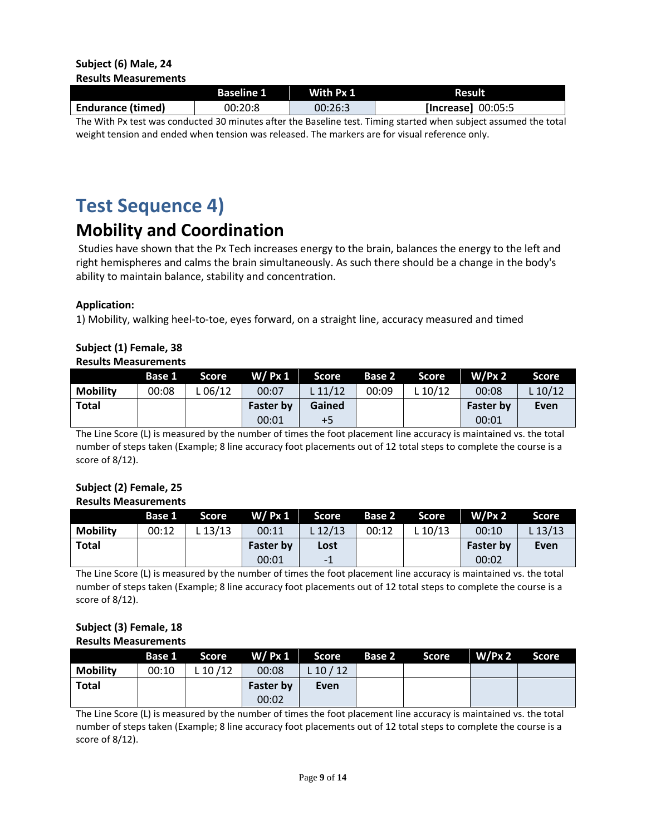|                          | <b>Baseline 1</b> | With Px 1 | <b>Result</b>      |
|--------------------------|-------------------|-----------|--------------------|
| <b>Endurance (timed)</b> | 00:20:8           | 00:26:3   | [Increase] 00:05:5 |

The With Px test was conducted 30 minutes after the Baseline test. Timing started when subject assumed the total weight tension and ended when tension was released. The markers are for visual reference only.

# **Test Sequence 4)**

# **Mobility and Coordination**

Studies have shown that the Px Tech increases energy to the brain, balances the energy to the left and right hemispheres and calms the brain simultaneously. As such there should be a change in the body's ability to maintain balance, stability and concentration.

# **Application:**

1) Mobility, walking heel-to-toe, eyes forward, on a straight line, accuracy measured and timed

#### **Subject (1) Female, 38 Results Measurements**

|                 | Base 1 | <b>Score</b> | W/ Px 1          | Score 7 | Base 2 | Score     | W/Px 2           | Score   |
|-----------------|--------|--------------|------------------|---------|--------|-----------|------------------|---------|
| <b>Mobility</b> | 00:08  | L 06/12      | 00:07            | L 11/12 | 00:09  | L $10/12$ | 00:08            | L 10/12 |
| <b>Total</b>    |        |              | <b>Faster by</b> | Gained  |        |           | <b>Faster by</b> | Even    |
|                 |        |              | 00:01            | $+5$    |        |           | 00:01            |         |

The Line Score (L) is measured by the number of times the foot placement line accuracy is maintained vs. the total number of steps taken (Example; 8 line accuracy foot placements out of 12 total steps to complete the course is a score of 8/12).

#### **Subject (2) Female, 25 Results Measurements**

|                 | Base 1 | <b>Score</b> | W/ Px 1          | Score    |       | <b>Base 2 Score</b> | W/Px 2           | Score   |
|-----------------|--------|--------------|------------------|----------|-------|---------------------|------------------|---------|
| <b>Mobility</b> | 00:12  | $-13/13$     | 00:11            | $-12/13$ | 00:12 | L $10/13$           | 00:10            | L 13/13 |
| <b>Total</b>    |        |              | <b>Faster by</b> | Lost     |       |                     | <b>Faster by</b> | Even    |
|                 |        |              | 00:01            | -1       |       |                     | 00:02            |         |

The Line Score (L) is measured by the number of times the foot placement line accuracy is maintained vs. the total number of steps taken (Example; 8 line accuracy foot placements out of 12 total steps to complete the course is a score of 8/12).

#### **Subject (3) Female, 18 Results Measurements**

|                 |       |            |                  | Base 1 Score W/Px 1 Score | <b>Base 2</b> Score | W/Px2 | Score |
|-----------------|-------|------------|------------------|---------------------------|---------------------|-------|-------|
| <b>Mobility</b> | 00:10 | $L$ 10 /12 | 00:08            | L 10 $/$ 12               |                     |       |       |
| <b>Total</b>    |       |            | <b>Faster by</b> | Even                      |                     |       |       |
|                 |       |            | 00:02            |                           |                     |       |       |

The Line Score (L) is measured by the number of times the foot placement line accuracy is maintained vs. the total number of steps taken (Example; 8 line accuracy foot placements out of 12 total steps to complete the course is a score of 8/12).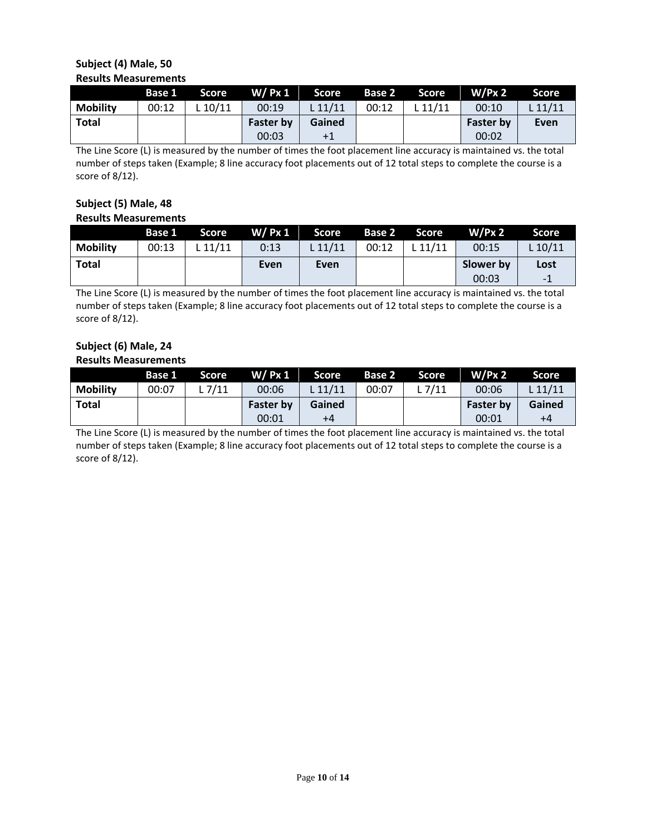## **Subject (4) Male, 50 Results Measurements**

|                 | Base 1 | <b>Score</b> | $W/$ Px 1        | Score   | <b>Base 2</b> | Score   | $W/Px$ 2         | Score     |
|-----------------|--------|--------------|------------------|---------|---------------|---------|------------------|-----------|
| <b>Mobility</b> | 00:12  | .10/11       | 00:19            | L 11/11 | 00:12         | . 11/11 | 00:10            | $L$ 11/11 |
| <b>Total</b>    |        |              | <b>Faster by</b> | Gained  |               |         | <b>Faster by</b> | Even      |
|                 |        |              | 00:03            | +1      |               |         | 00:02            |           |

The Line Score (L) is measured by the number of times the foot placement line accuracy is maintained vs. the total number of steps taken (Example; 8 line accuracy foot placements out of 12 total steps to complete the course is a score of 8/12).

#### **Subject (5) Male, 48 Results Measurements**

|                 | Base 1 | <b>Score</b> | $W/$ Px 1 | Score   |       | Base 2 Score | W/Px 2    | Score     |
|-----------------|--------|--------------|-----------|---------|-------|--------------|-----------|-----------|
| <b>Mobility</b> | 00:13  | L 11/11      | 0:13      | L 11/11 | 00:12 | L $11/11$    | 00:15     | $L$ 10/11 |
| Total           |        |              | Even      | Even    |       |              | Slower by | Lost      |
|                 |        |              |           |         |       |              | 00:03     | $-1$      |

The Line Score (L) is measured by the number of times the foot placement line accuracy is maintained vs. the total number of steps taken (Example; 8 line accuracy foot placements out of 12 total steps to complete the course is a score of 8/12).

# **Subject (6) Male, 24 Results Measurements**

|                 | Base 1 | Score  | $W/$ Px 1        | Score <b>1</b> | <b>Base 2</b> | Score    | W/Px 2           | Score     |
|-----------------|--------|--------|------------------|----------------|---------------|----------|------------------|-----------|
| <b>Mobility</b> | 00:07  | L 7/11 | 00:06            | $L$ 11/11      | 00:07         | L $7/11$ | 00:06            | $L$ 11/11 |
| <b>Total</b>    |        |        | <b>Faster by</b> | Gained         |               |          | <b>Faster by</b> | Gained    |
|                 |        |        | 00:01            | +4             |               |          | 00:01            | $+4$      |

The Line Score (L) is measured by the number of times the foot placement line accuracy is maintained vs. the total number of steps taken (Example; 8 line accuracy foot placements out of 12 total steps to complete the course is a score of 8/12).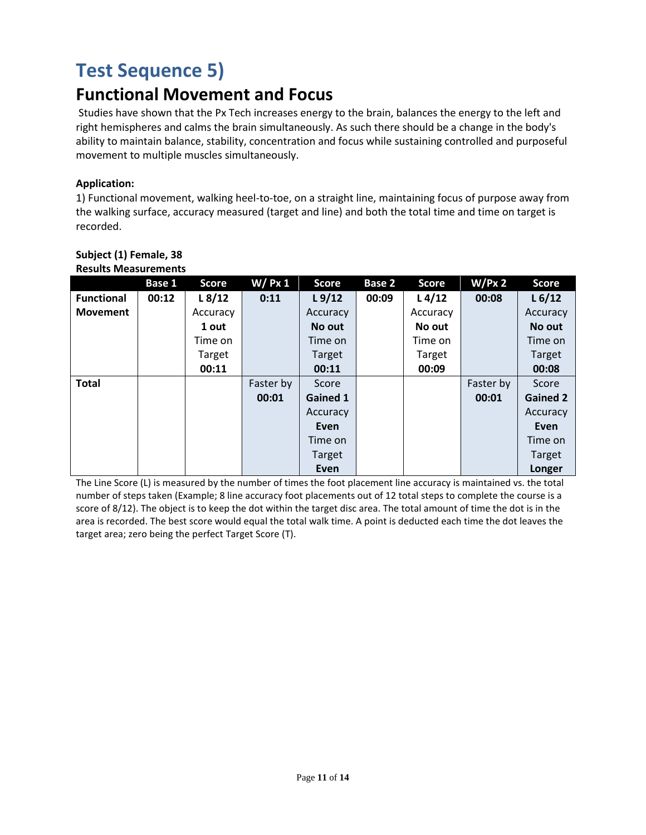# **Test Sequence 5)**

# **Functional Movement and Focus**

Studies have shown that the Px Tech increases energy to the brain, balances the energy to the left and right hemispheres and calms the brain simultaneously. As such there should be a change in the body's ability to maintain balance, stability, concentration and focus while sustaining controlled and purposeful movement to multiple muscles simultaneously.

# **Application:**

1) Functional movement, walking heel-to-toe, on a straight line, maintaining focus of purpose away from the walking surface, accuracy measured (target and line) and both the total time and time on target is recorded.

|                   | Base 1 | <b>Score</b> | $W/$ Px 1 | <b>Score</b>    | Base 2 | <b>Score</b>       | W/Px 2    | <b>Score</b>       |
|-------------------|--------|--------------|-----------|-----------------|--------|--------------------|-----------|--------------------|
| <b>Functional</b> | 00:12  | L8/12        | 0:11      | L9/12           | 00:09  | L <sub>4</sub> /12 | 00:08     | L <sub>6</sub> /12 |
| <b>Movement</b>   |        | Accuracy     |           | Accuracy        |        | Accuracy           |           | Accuracy           |
|                   |        | 1 out        |           | No out          |        | No out             |           | No out             |
|                   |        | Time on      |           | Time on         |        | Time on            |           | Time on            |
|                   |        | Target       |           | Target          |        | Target             |           | <b>Target</b>      |
|                   |        | 00:11        |           | 00:11           |        | 00:09              |           | 00:08              |
| <b>Total</b>      |        |              | Faster by | Score           |        |                    | Faster by | Score              |
|                   |        |              | 00:01     | <b>Gained 1</b> |        |                    | 00:01     | <b>Gained 2</b>    |
|                   |        |              |           | Accuracy        |        |                    |           | Accuracy           |
|                   |        |              |           | Even            |        |                    |           | Even               |
|                   |        |              |           | Time on         |        |                    |           | Time on            |
|                   |        |              |           | Target          |        |                    |           | Target             |
|                   |        |              |           | Even            |        |                    |           | Longer             |

#### **Subject (1) Female, 38 Results Measurements**

The Line Score (L) is measured by the number of times the foot placement line accuracy is maintained vs. the total number of steps taken (Example; 8 line accuracy foot placements out of 12 total steps to complete the course is a score of 8/12). The object is to keep the dot within the target disc area. The total amount of time the dot is in the area is recorded. The best score would equal the total walk time. A point is deducted each time the dot leaves the target area; zero being the perfect Target Score (T).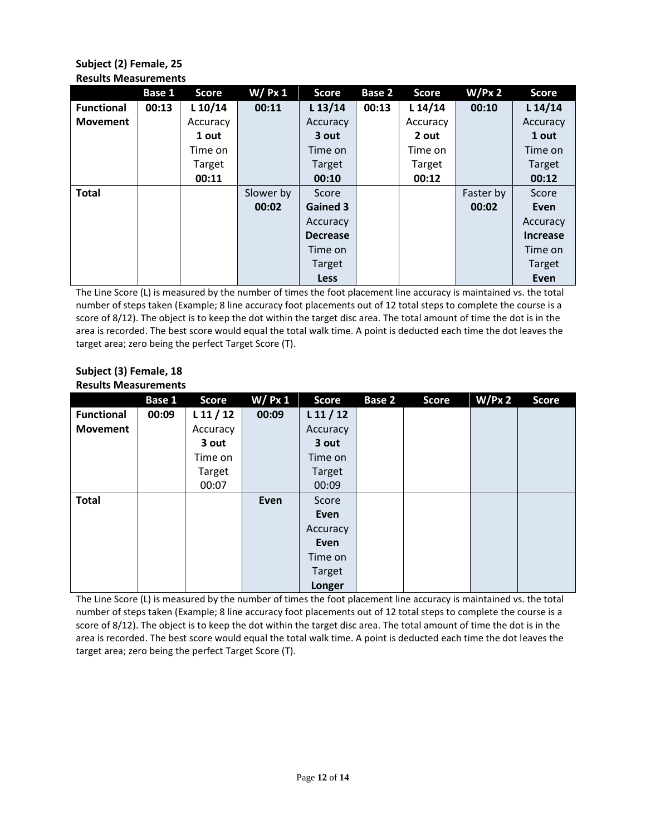# **Subject (2) Female, 25 Results Measurements**

|                   | Base 1 | <b>Score</b> | $W/$ Px 1 | <b>Score</b>    | Base 2 | <b>Score</b> | W/Px 2    | <b>Score</b>    |
|-------------------|--------|--------------|-----------|-----------------|--------|--------------|-----------|-----------------|
| <b>Functional</b> | 00:13  | L 10/14      | 00:11     | $L$ 13/14       | 00:13  | $L$ 14/14    | 00:10     | $L$ 14/14       |
| <b>Movement</b>   |        | Accuracy     |           | Accuracy        |        | Accuracy     |           | Accuracy        |
|                   |        | 1 out        |           | 3 out           |        | 2 out        |           | 1 out           |
|                   |        | Time on      |           | Time on         |        | Time on      |           | Time on         |
|                   |        | Target       |           | Target          |        | Target       |           | <b>Target</b>   |
|                   |        | 00:11        |           | 00:10           |        | 00:12        |           | 00:12           |
| <b>Total</b>      |        |              | Slower by | Score           |        |              | Faster by | Score           |
|                   |        |              | 00:02     | <b>Gained 3</b> |        |              | 00:02     | Even            |
|                   |        |              |           | Accuracy        |        |              |           | Accuracy        |
|                   |        |              |           | <b>Decrease</b> |        |              |           | <b>Increase</b> |
|                   |        |              |           | Time on         |        |              |           | Time on         |
|                   |        |              |           | Target          |        |              |           | Target          |
|                   |        |              |           | <b>Less</b>     |        |              |           | Even            |

The Line Score (L) is measured by the number of times the foot placement line accuracy is maintained vs. the total number of steps taken (Example; 8 line accuracy foot placements out of 12 total steps to complete the course is a score of 8/12). The object is to keep the dot within the target disc area. The total amount of time the dot is in the area is recorded. The best score would equal the total walk time. A point is deducted each time the dot leaves the target area; zero being the perfect Target Score (T).

# **Subject (3) Female, 18 Results Measurements**

|                   | Base 1 | <b>Score</b> | $W/$ Px 1 | <b>Score</b> | Base 2 | <b>Score</b> | W/Px 2 | <b>Score</b> |
|-------------------|--------|--------------|-----------|--------------|--------|--------------|--------|--------------|
| <b>Functional</b> | 00:09  | $L$ 11 / 12  | 00:09     | $L$ 11 / 12  |        |              |        |              |
| <b>Movement</b>   |        | Accuracy     |           | Accuracy     |        |              |        |              |
|                   |        | 3 out        |           | 3 out        |        |              |        |              |
|                   |        | Time on      |           | Time on      |        |              |        |              |
|                   |        | Target       |           | Target       |        |              |        |              |
|                   |        | 00:07        |           | 00:09        |        |              |        |              |
| <b>Total</b>      |        |              | Even      | Score        |        |              |        |              |
|                   |        |              |           | Even         |        |              |        |              |
|                   |        |              |           | Accuracy     |        |              |        |              |
|                   |        |              |           | Even         |        |              |        |              |
|                   |        |              |           | Time on      |        |              |        |              |
|                   |        |              |           | Target       |        |              |        |              |
|                   |        |              |           | Longer       |        |              |        |              |

The Line Score (L) is measured by the number of times the foot placement line accuracy is maintained vs. the total number of steps taken (Example; 8 line accuracy foot placements out of 12 total steps to complete the course is a score of 8/12). The object is to keep the dot within the target disc area. The total amount of time the dot is in the area is recorded. The best score would equal the total walk time. A point is deducted each time the dot leaves the target area; zero being the perfect Target Score (T).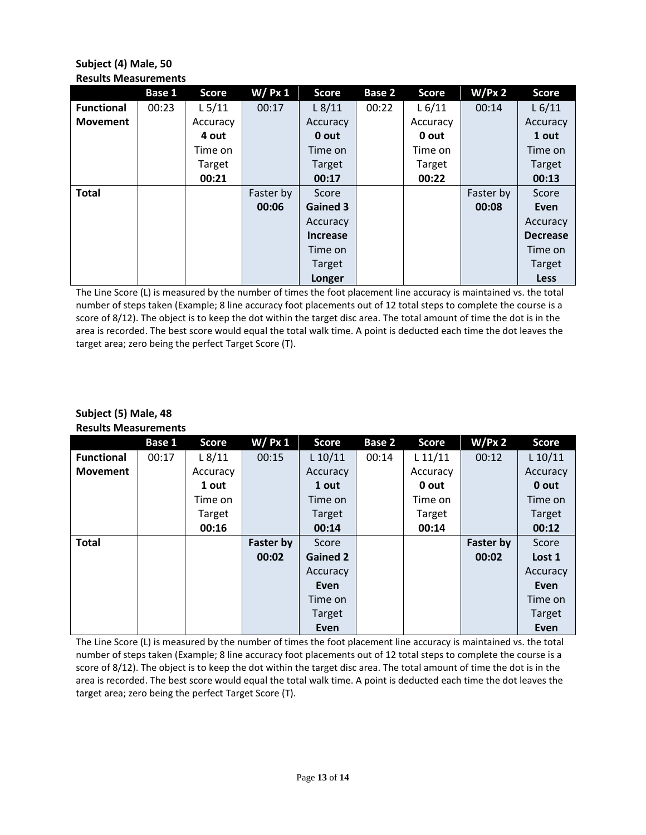# **Subject (4) Male, 50 Results Measurements**

|                   | <b>Base 1</b> | <b>Score</b> | $W/$ Px 1 | <b>Score</b>    | Base 2 | <b>Score</b> | W/Px 2    | <b>Score</b>    |
|-------------------|---------------|--------------|-----------|-----------------|--------|--------------|-----------|-----------------|
| <b>Functional</b> | 00:23         | $L$ 5/11     | 00:17     | $L$ 8/11        | 00:22  | L 6/11       | 00:14     | L 6/11          |
| <b>Movement</b>   |               | Accuracy     |           | Accuracy        |        | Accuracy     |           | Accuracy        |
|                   |               | 4 out        |           | 0 out           |        | 0 out        |           | 1 out           |
|                   |               | Time on      |           | Time on         |        | Time on      |           | Time on         |
|                   |               | Target       |           | <b>Target</b>   |        | Target       |           | <b>Target</b>   |
|                   |               | 00:21        |           | 00:17           |        | 00:22        |           | 00:13           |
| <b>Total</b>      |               |              | Faster by | Score           |        |              | Faster by | Score           |
|                   |               |              | 00:06     | Gained 3        |        |              | 00:08     | Even            |
|                   |               |              |           | Accuracy        |        |              |           | Accuracy        |
|                   |               |              |           | <b>Increase</b> |        |              |           | <b>Decrease</b> |
|                   |               |              |           | Time on         |        |              |           | Time on         |
|                   |               |              |           | Target          |        |              |           | Target          |
|                   |               |              |           | Longer          |        |              |           | <b>Less</b>     |

The Line Score (L) is measured by the number of times the foot placement line accuracy is maintained vs. the total number of steps taken (Example; 8 line accuracy foot placements out of 12 total steps to complete the course is a score of 8/12). The object is to keep the dot within the target disc area. The total amount of time the dot is in the area is recorded. The best score would equal the total walk time. A point is deducted each time the dot leaves the target area; zero being the perfect Target Score (T).

# **Subject (5) Male, 48 Results Measurements**

|                   | Base 1 | <b>Score</b> | $W/$ Px 1 | <b>Score</b>    | Base 2 | <b>Score</b> | W/Px 2           | <b>Score</b> |
|-------------------|--------|--------------|-----------|-----------------|--------|--------------|------------------|--------------|
| <b>Functional</b> | 00:17  | $L$ 8/11     | 00:15     | $L$ 10/11       | 00:14  | $L$ 11/11    | 00:12            | $L$ 10/11    |
| <b>Movement</b>   |        | Accuracy     |           | Accuracy        |        | Accuracy     |                  | Accuracy     |
|                   |        | 1 out        |           | 1 out           |        | 0 out        |                  | 0 out        |
|                   |        | Time on      |           | Time on         |        | Time on      |                  | Time on      |
|                   |        | Target       |           | Target          |        | Target       |                  | Target       |
|                   |        | 00:16        |           | 00:14           |        | 00:14        |                  | 00:12        |
| <b>Total</b>      |        |              | Faster by | Score           |        |              | <b>Faster by</b> | Score        |
|                   |        |              | 00:02     | <b>Gained 2</b> |        |              | 00:02            | Lost 1       |
|                   |        |              |           | Accuracy        |        |              |                  | Accuracy     |
|                   |        |              |           | Even            |        |              |                  | Even         |
|                   |        |              |           | Time on         |        |              |                  | Time on      |
|                   |        |              |           | Target          |        |              |                  | Target       |
|                   |        |              |           | Even            |        |              |                  | Even         |

The Line Score (L) is measured by the number of times the foot placement line accuracy is maintained vs. the total number of steps taken (Example; 8 line accuracy foot placements out of 12 total steps to complete the course is a score of 8/12). The object is to keep the dot within the target disc area. The total amount of time the dot is in the area is recorded. The best score would equal the total walk time. A point is deducted each time the dot leaves the target area; zero being the perfect Target Score (T).